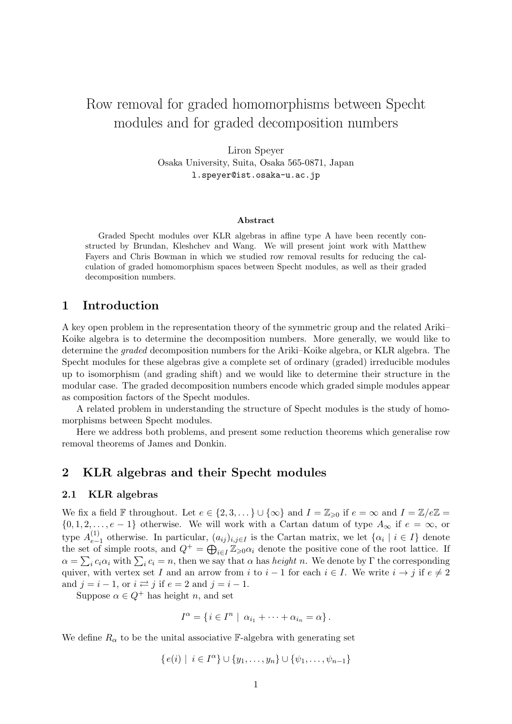# Row removal for graded homomorphisms between Specht modules and for graded decomposition numbers

Liron Speyer Osaka University, Suita, Osaka 565-0871, Japan l.speyer@ist.osaka-u.ac.jp

#### Abstract

Graded Specht modules over KLR algebras in affine type A have been recently constructed by Brundan, Kleshchev and Wang. We will present joint work with Matthew Fayers and Chris Bowman in which we studied row removal results for reducing the calculation of graded homomorphism spaces between Specht modules, as well as their graded decomposition numbers.

## 1 Introduction

A key open problem in the representation theory of the symmetric group and the related Ariki– Koike algebra is to determine the decomposition numbers. More generally, we would like to determine the graded decomposition numbers for the Ariki–Koike algebra, or KLR algebra. The Specht modules for these algebras give a complete set of ordinary (graded) irreducible modules up to isomorphism (and grading shift) and we would like to determine their structure in the modular case. The graded decomposition numbers encode which graded simple modules appear as composition factors of the Specht modules.

A related problem in understanding the structure of Specht modules is the study of homomorphisms between Specht modules.

Here we address both problems, and present some reduction theorems which generalise row removal theorems of James and Donkin.

## 2 KLR algebras and their Specht modules

### 2.1 KLR algebras

We fix a field F throughout. Let  $e \in \{2, 3, ...\} \cup \{\infty\}$  and  $I = \mathbb{Z}_{\geq 0}$  if  $e = \infty$  and  $I = \mathbb{Z}/e\mathbb{Z} =$  $\{0, 1, 2, \ldots, e-1\}$  otherwise. We will work with a Cartan datum of type  $A_{\infty}$  if  $e = \infty$ , or type  $A_{e-}^{(1)}$  $e_{i-1}^{(1)}$  otherwise. In particular,  $(a_{ij})_{i,j\in I}$  is the Cartan matrix, we let  $\{\alpha_i \mid i \in I\}$  denote the set of simple roots, and  $Q^+ = \bigoplus_{i \in I} \mathbb{Z}_{\geq 0} \alpha_i$  denote the positive cone of the root lattice. If  $\alpha = \sum_i c_i \alpha_i$  with  $\sum_i c_i = n$ , then we say that  $\alpha$  has *height n*. We denote by  $\Gamma$  the corresponding quiver, with vertex set I and an arrow from i to  $i-1$  for each  $i \in I$ . We write  $i \to j$  if  $e \neq 2$ and  $j = i - 1$ , or  $i \rightleftarrows j$  if  $e = 2$  and  $j = i - 1$ .

Suppose  $\alpha \in Q^+$  has height n, and set

$$
I^{\alpha} = \{ i \in I^n \mid \alpha_{i_1} + \cdots + \alpha_{i_n} = \alpha \}.
$$

We define  $R_{\alpha}$  to be the unital associative F-algebra with generating set

$$
\{e(i) | i \in I^{\alpha}\} \cup \{y_1, \ldots, y_n\} \cup \{\psi_1, \ldots, \psi_{n-1}\}\
$$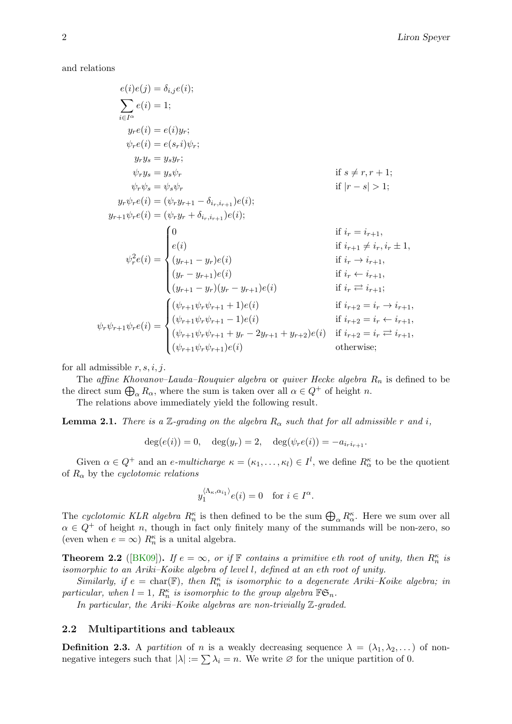<span id="page-1-0"></span>and relations

$$
e(i)e(j) = \delta_{i,j}e(i);
$$
  
\n
$$
\sum_{i \in I^{\alpha}} e(i) = 1;
$$
  
\n
$$
y_r e(i) = e(i)y_r;
$$
  
\n
$$
\psi_r e(i) = e(s_r i)\psi_r;
$$
  
\n
$$
y_r y_s = y_s y_r;
$$
  
\n
$$
\psi_r y_s = y_s \psi_r
$$
  
\nif  $s \neq r, r + 1;$   
\n
$$
\psi_r \psi_s = \psi_s \psi_r
$$
  
\nif  $|r - s| > 1;$   
\n
$$
y_r \psi_r e(i) = (\psi_r y_{r+1} - \delta_{i_r, i_{r+1}}) e(i);
$$
  
\n
$$
y_{r+1} \psi_r e(i) = (\psi_r y_r + \delta_{i_r, i_{r+1}}) e(i);
$$
  
\nif  $i_r = i_{r+1},$   
\n
$$
\psi_r^2 e(i) = \begin{cases} 0 & \text{if } i_r = i_{r+1}, \\ e(i) & \text{if } i_{r+1} \neq i_r, i_r \pm 1, \\ (y_{r+1} - y_r) e(i) & \text{if } i_r \leftrightarrow i_{r+1}, \\ (y_{r+1} - y_r)(y_r - y_{r+1}) e(i) & \text{if } i_r \neq i_{r+1}; \\ (y_{r+1} \psi_r \psi_{r+1} + 1) e(i) & \text{if } i_{r+2} = i_r \to i_{r+1}, \\ (\psi_{r+1} \psi_r \psi_{r+1} - 1) e(i) & \text{if } i_{r+2} = i_r \leftarrow i_{r+1}, \\ (\psi_{r+1} \psi_r \psi_{r+1} + y_r - 2y_{r+1} + y_{r+2}) e(i) & \text{if } i_{r+2} = i_r \leftarrow i_{r+1}, \\ (\psi_{r+1} \psi_r \psi_{r+1}) e(i) & \text{otherwise}; \end{cases}
$$

for all admissible  $r, s, i, j$ .

The affine Khovanov–Lauda–Rouquier algebra or quiver Hecke algebra  $R_n$  is defined to be the direct sum  $\bigoplus_{\alpha} R_{\alpha}$ , where the sum is taken over all  $\alpha \in Q^+$  of height n.

The relations above immediately yield the following result.

**Lemma 2.1.** There is a Z-grading on the algebra  $R_{\alpha}$  such that for all admissible r and i,

$$
deg(e(i)) = 0
$$
,  $deg(y_r) = 2$ ,  $deg(\psi_r e(i)) = -a_{i_r i_{r+1}}$ .

Given  $\alpha \in Q^+$  and an *e-multicharge*  $\kappa = (\kappa_1, \ldots, \kappa_l) \in I^l$ , we define  $R^{\kappa}_{\alpha}$  to be the quotient of  $R_{\alpha}$  by the *cyclotomic relations* 

$$
y_1^{\langle \Lambda_\kappa, \alpha_{i_1} \rangle} e(i) = 0
$$
 for  $i \in I^\alpha$ .

The cyclotomic KLR algebra  $R_n^{\kappa}$  is then defined to be the sum  $\bigoplus_{\alpha} R_{\alpha}^{\kappa}$ . Here we sum over all  $\alpha \in Q^+$  of height n, though in fact only finitely many of the summands will be non-zero, so (even when  $e = \infty$ )  $R_n^{\kappa}$  is a unital algebra.

**Theorem 2.2** ([\[BK09\]](#page-9-0)). If  $e = \infty$ , or if  $\mathbb{F}$  contains a primitive eth root of unity, then  $R_n^{\kappa}$  is isomorphic to an Ariki–Koike algebra of level l, defined at an eth root of unity.

Similarly, if  $e = \text{char}(\mathbb{F})$ , then  $R_n^{\kappa}$  is isomorphic to a degenerate Ariki–Koike algebra; in particular, when  $l = 1$ ,  $R_n^{\kappa}$  is isomorphic to the group algebra  $\mathbb{F} \mathfrak{S}_n$ .

In particular, the Ariki–Koike algebras are non-trivially Z-graded.

### 2.2 Multipartitions and tableaux

**Definition 2.3.** A partition of n is a weakly decreasing sequence  $\lambda = (\lambda_1, \lambda_2, \dots)$  of nonnegative integers such that  $|\lambda| := \sum \lambda_i = n$ . We write  $\varnothing$  for the unique partition of 0.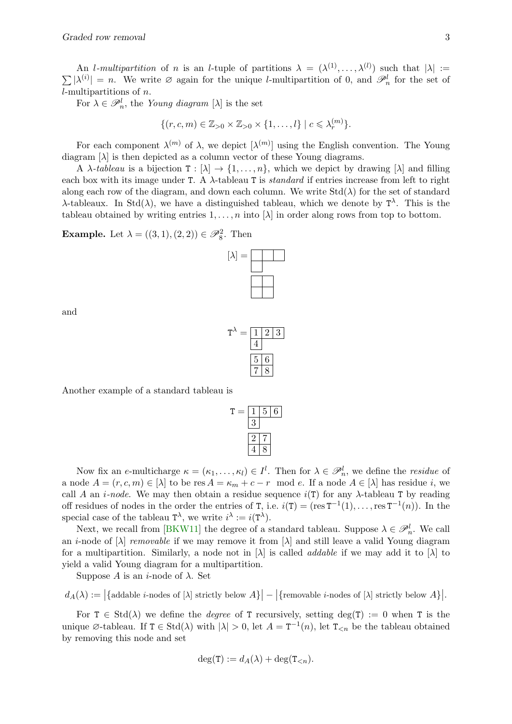<span id="page-2-0"></span>An *l*-multipartition of n is an *l*-tuple of partitions  $\lambda = (\lambda^{(1)}, \ldots, \lambda^{(l)})$  such that  $|\lambda| :=$  $\sum |\lambda^{(i)}| = n$ . We write  $\emptyset$  again for the unique *l*-multipartition of 0, and  $\mathscr{P}_n^l$  for the set of l-multipartitions of n.

For  $\lambda \in \mathscr{P}_n^l$ , the Young diagram  $[\lambda]$  is the set

$$
\{(r, c, m) \in \mathbb{Z}_{>0} \times \mathbb{Z}_{>0} \times \{1, \ldots, l\} \mid c \leqslant \lambda_r^{(m)}\}.
$$

For each component  $\lambda^{(m)}$  of  $\lambda$ , we depict  $[\lambda^{(m)}]$  using the English convention. The Young diagram  $[\lambda]$  is then depicted as a column vector of these Young diagrams.

A  $\lambda$ -tableau is a bijection  $T : [\lambda] \to \{1, \ldots, n\}$ , which we depict by drawing  $[\lambda]$  and filling each box with its image under T. A  $\lambda$ -tableau T is *standard* if entries increase from left to right along each row of the diagram, and down each column. We write  $Std(\lambda)$  for the set of standard  $\lambda$ -tableaux. In Std( $\lambda$ ), we have a distinguished tableau, which we denote by  $T^{\lambda}$ . This is the tableau obtained by writing entries  $1, \ldots, n$  into  $[\lambda]$  in order along rows from top to bottom.

**Example.** Let  $\lambda = ((3, 1), (2, 2)) \in \mathscr{P}_8^2$ . Then



and

$$
T^{\lambda} = \boxed{\frac{1}{4} \cdot \frac{2}{3}}
$$

$$
\boxed{\frac{5}{7} \cdot \frac{6}{8}}
$$

Another example of a standard tableau is

$$
T = \frac{1}{3} = \frac{5}{6}
$$
  

$$
\frac{2}{4} = \frac{7}{8}
$$

Now fix an e-multicharge  $\kappa = (\kappa_1, \ldots, \kappa_l) \in I^l$ . Then for  $\lambda \in \mathcal{P}_n^l$ , we define the *residue* of a node  $A = (r, c, m) \in [\lambda]$  to be res  $A = \kappa_m + c - r \mod e$ . If a node  $A \in [\lambda]$  has residue i, we call A an *i-node*. We may then obtain a residue sequence  $i(T)$  for any  $\lambda$ -tableau T by reading off residues of nodes in the order the entries of T, i.e.  $i(T) = (res T^{-1}(1), \ldots, res T^{-1}(n))$ . In the special case of the tableau  $T^{\lambda}$ , we write  $i^{\lambda} := i(T^{\lambda})$ .

Next, we recall from [\[BKW11\]](#page-9-1) the degree of a standard tableau. Suppose  $\lambda \in \mathscr{P}_n^l$ . We call an *i*-node of  $[\lambda]$  *removable* if we may remove it from  $[\lambda]$  and still leave a valid Young diagram for a multipartition. Similarly, a node not in  $[\lambda]$  is called *addable* if we may add it to  $[\lambda]$  to yield a valid Young diagram for a multipartition.

Suppose A is an *i*-node of  $\lambda$ . Set

 $d_A(\lambda) := \big|\{\text{addable } i\text{-nodes of } [\lambda] \text{ strictly below } A\}\big| - \big|\{\text{removable } i\text{-nodes of } [\lambda] \text{ strictly below } A\}\big|.$ 

For  $T \in \text{Std}(\lambda)$  we define the *degree* of T recursively, setting deg(T) := 0 when T is the unique  $\emptyset$ -tableau. If  $T \in \text{Std}(\lambda)$  with  $|\lambda| > 0$ , let  $A = T^{-1}(n)$ , let  $T_{\leq n}$  be the tableau obtained by removing this node and set

$$
\deg(\mathtt{T}) := d_{A}(\lambda) + \deg(\mathtt{T}_{\leq n}).
$$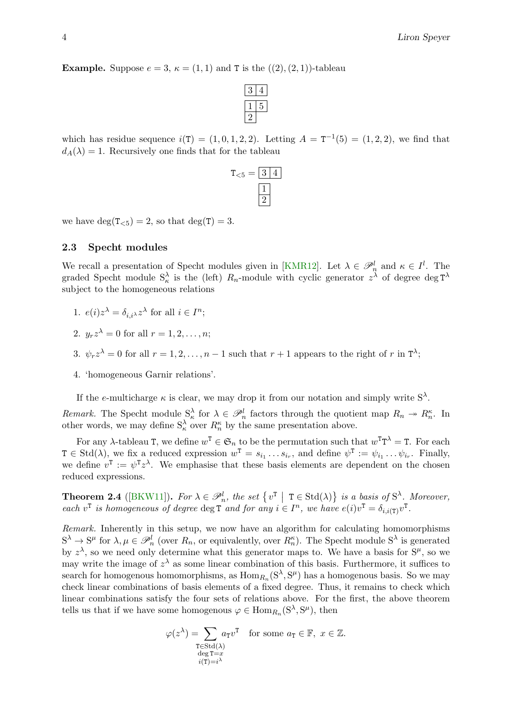<span id="page-3-0"></span>**Example.** Suppose  $e = 3$ ,  $\kappa = (1, 1)$  and T is the  $((2), (2, 1))$ -tableau

which has residue sequence  $i(T) = (1, 0, 1, 2, 2)$ . Letting  $A = T^{-1}(5) = (1, 2, 2)$ , we find that  $d_A(\lambda) = 1$ . Recursively one finds that for the tableau



we have  $\deg(T_{\leq 5}) = 2$ , so that  $\deg(T) = 3$ .

#### 2.3 Specht modules

We recall a presentation of Specht modules given in [\[KMR12\]](#page-9-2). Let  $\lambda \in \mathcal{P}_n^l$  and  $\kappa \in I^l$ . The graded Specht module  $S_{\kappa}^{\lambda}$  is the (left)  $R_n$ -module with cyclic generator  $z^{\lambda}$  of degree deg  $T^{\lambda}$ subject to the homogeneous relations

- 1.  $e(i)z^{\lambda} = \delta_{i,i^{\lambda}}z^{\lambda}$  for all  $i \in I^{n}$ ;
- 2.  $y_r z^{\lambda} = 0$  for all  $r = 1, 2, \ldots, n;$
- 3.  $\psi_r z^{\lambda} = 0$  for all  $r = 1, 2, ..., n-1$  such that  $r + 1$  appears to the right of r in  $T^{\lambda}$ ;
- 4. 'homogeneous Garnir relations'.

If the e-multicharge  $\kappa$  is clear, we may drop it from our notation and simply write  $S^{\lambda}$ .

Remark. The Specht module  $S^{\lambda}_{\kappa}$  for  $\lambda \in \mathcal{P}_n^l$  factors through the quotient map  $R_n \to R_n^{\kappa}$ . In other words, we may define  $S_{\kappa}^{\lambda}$  over  $R_{n}^{\kappa}$  by the same presentation above.

For any  $\lambda$ -tableau T, we define  $w^T \in \mathfrak{S}_n$  to be the permutation such that  $w^T T^{\lambda} = T$ . For each  $T \in \text{Std}(\lambda)$ , we fix a reduced expression  $w^T = s_{i_1} \dots s_{i_r}$ , and define  $\psi^T := \psi_{i_1} \dots \psi_{i_r}$ . Finally, we define  $v^T := \psi^T z^{\lambda}$ . We emphasise that these basis elements are dependent on the chosen reduced expressions.

**Theorem 2.4** ([\[BKW11\]](#page-9-1)). For  $\lambda \in \mathcal{P}_n^l$ , the set  $\{v^T \mid T \in \text{Std}(\lambda)\}\$  is a basis of  $S^{\lambda}$ . Moreover, each  $v^{\text{T}}$  is homogeneous of degree deg  $\text{T}$  and for any  $i \in I^n$ , we have  $e(i)v^{\text{T}} = \delta_{i,i(\text{T})}v^{\text{T}}$ .

Remark. Inherently in this setup, we now have an algorithm for calculating homomorphisms  $S^{\lambda} \to S^{\mu}$  for  $\lambda, \mu \in \mathscr{P}_n^l$  (over  $R_n$ , or equivalently, over  $R_n^{\kappa}$ ). The Specht module  $S^{\lambda}$  is generated by  $z^{\lambda}$ , so we need only determine what this generator maps to. We have a basis for  $S^{\mu}$ , so we may write the image of  $z^{\lambda}$  as some linear combination of this basis. Furthermore, it suffices to search for homogenous homomorphisms, as  $\text{Hom}_{R_n}(S^{\lambda}, S^{\mu})$  has a homogenous basis. So we may check linear combinations of basis elements of a fixed degree. Thus, it remains to check which linear combinations satisfy the four sets of relations above. For the first, the above theorem tells us that if we have some homogenous  $\varphi \in \text{Hom}_{R_n}(S^{\lambda}, S^{\mu})$ , then

$$
\varphi(z^{\lambda}) = \sum_{\substack{T \in \text{Std}(\lambda) \\ \deg T = x \\ i(T) = i^{\lambda}}} a_T v^T \quad \text{for some } a_T \in \mathbb{F}, \ x \in \mathbb{Z}.
$$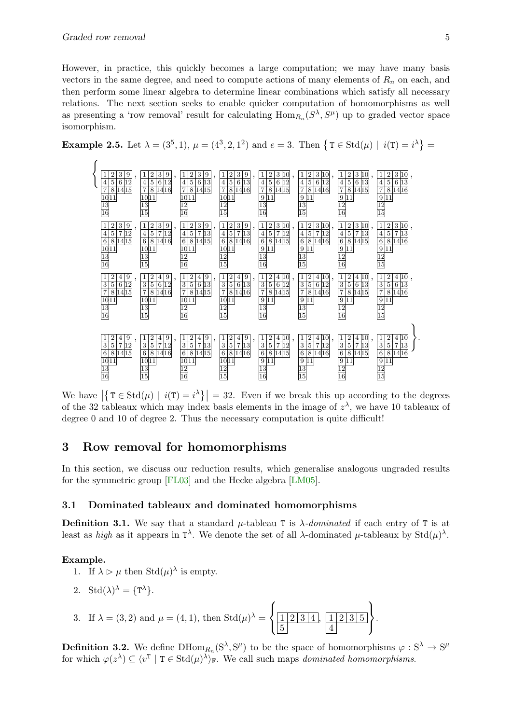<span id="page-4-1"></span>However, in practice, this quickly becomes a large computation; we may have many basis vectors in the same degree, and need to compute actions of many elements of  $R_n$  on each, and then perform some linear algebra to determine linear combinations which satisfy all necessary relations. The next section seeks to enable quicker computation of homomorphisms as well as presenting a 'row removal' result for calculating  $\text{Hom}_{R_n}(S^{\lambda}, S^{\mu})$  up to graded vector space isomorphism.

<span id="page-4-0"></span>**Example 2.5.** Let  $\lambda = (3^5, 1), \mu = (4^3, 2, 1^2)$  and  $e = 3$ . Then  $\{T \in \text{Std}(\mu) \mid i(T) = i^{\lambda}\}\$ 



We have  $|\{T \in \text{Std}(\mu) \mid i(T) = i^{\lambda}\}| = 32$ . Even if we break this up according to the degrees of the 32 tableaux which may index basis elements in the image of  $z^{\lambda}$ , we have 10 tableaux of degree 0 and 10 of degree 2. Thus the necessary computation is quite difficult!

### 3 Row removal for homomorphisms

In this section, we discuss our reduction results, which generalise analogous ungraded results for the symmetric group [\[FL03\]](#page-9-3) and the Hecke algebra [\[LM05\]](#page-9-4).

### 3.1 Dominated tableaux and dominated homomorphisms

**Definition 3.1.** We say that a standard  $\mu$ -tableau T is  $\lambda$ -dominated if each entry of T is at least as *high* as it appears in  $T^{\lambda}$ . We denote the set of all  $\lambda$ -dominated  $\mu$ -tableaux by  $Std(\mu)^{\lambda}$ .

### Example.

- 1. If  $\lambda \triangleright \mu$  then  $Std(\mu)^{\lambda}$  is empty.
- 2. Std $(\lambda)^{\lambda} = {\{\mathbf{T}^{\lambda}\}}.$
- 3. If  $\lambda = (3, 2)$  and  $\mu = (4, 1)$ , then  $\text{Std}(\mu)^{\lambda} =$  $\sqrt{ }$  $\left\vert \right\vert$  $\mathcal{L}$  $1 \mid 2 \mid 3 \mid 4$   $, 1 2 3 5$   $\mathcal{L}$  $\vert$  (  $\int$

**Definition 3.2.** We define  $\text{DHom}_{R_n}(S^{\lambda}, S^{\mu})$  to be the space of homomorphisms  $\varphi : S^{\lambda} \to S^{\mu}$ for which  $\varphi(z^{\lambda}) \subseteq \langle v^{\text{T}} | \mathbf{T} \in \text{Std}(\mu)^{\lambda} \rangle_{\mathbb{F}}$ . We call such maps dominated homomorphisms.

.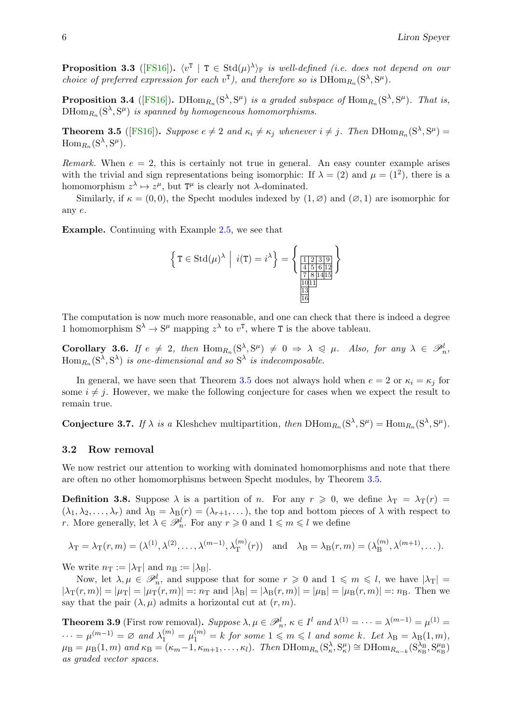<span id="page-5-1"></span>**Proposition 3.3** ([\[FS16\]](#page-9-5)).  $\langle v^T | T \in \text{Std}(\mu)^{\lambda} \rangle_F$  is well-defined (i.e. does not depend on our choice of preferred expression for each  $v^T$ ), and therefore so is  $\text{DHom}_{R_n}(S^{\lambda}, S^{\mu})$ .

**Proposition 3.4** ([\[FS16\]](#page-9-5)). DHom<sub>R<sub>n</sub></sub> $(S^{\lambda}, S^{\mu})$  is a graded subspace of Hom<sub>R<sub>n</sub></sub> $(S^{\lambda}, S^{\mu})$ . That is,  $\text{DHom}_{R_n}(S^{\lambda},S^{\mu})$  is spanned by homogeneous homomorphisms.

<span id="page-5-0"></span>**Theorem 3.5** ([\[FS16\]](#page-9-5)). Suppose  $e \neq 2$  and  $\kappa_i \neq \kappa_j$  whenever  $i \neq j$ . Then  $\text{DHom}_{R_n}(S^{\lambda}, S^{\mu}) =$  $\mathrm{Hom}_{R_n}(\mathrm{S}^\lambda,\mathrm{S}^\mu).$ 

Remark. When  $e = 2$ , this is certainly not true in general. An easy counter example arises with the trivial and sign representations being isomorphic: If  $\lambda = (2)$  and  $\mu = (1^2)$ , there is a homomorphism  $z^{\lambda} \mapsto z^{\mu}$ , but  $T^{\mu}$  is clearly not  $\lambda$ -dominated.

Similarly, if  $\kappa = (0, 0)$ , the Specht modules indexed by  $(1, \varnothing)$  and  $(\varnothing, 1)$  are isomorphic for any e.

Example. Continuing with Example [2.5,](#page-4-0) we see that

$$
\left\{ T \in \text{Std}(\mu)^{\lambda} \middle| i(T) = i^{\lambda} \right\} = \left\{ \frac{\frac{1 \cdot 2 \cdot 3 \cdot 9}{4 \cdot 5 \cdot 6 \cdot 12}}{\frac{7 \cdot 8 \cdot 14 \cdot 15}{10 \cdot 11}} \right\}
$$

The computation is now much more reasonable, and one can check that there is indeed a degree 1 homomorphism  $S^{\lambda} \to S^{\mu}$  mapping  $z^{\lambda}$  to  $v^{T}$ , where T is the above tableau.

**Corollary 3.6.** If  $e \neq 2$ , then  $\text{Hom}_{R_n}(S^{\lambda}, S^{\mu}) \neq 0 \Rightarrow \lambda \leq \mu$ . Also, for any  $\lambda \in \mathcal{P}_n^l$ ,<br>Here  $(S^{\lambda}, S^{\lambda})$  is an adimensional and so  $S^{\lambda}$  is indecomposable.  $\operatorname{Hom}_{R_n}(\mathrm{S}^\lambda, \mathrm{S}^\lambda)$  is one-dimensional and so  $\mathrm{S}^\lambda$  is indecomposable.

In general, we have seen that Theorem [3.5](#page-5-0) does not always hold when  $e = 2$  or  $\kappa_i = \kappa_j$  for some  $i \neq j$ . However, we make the following conjecture for cases when we expect the result to remain true.

**Conjecture 3.7.** If  $\lambda$  is a Kleshchev multipartition, then  $\text{DHom}_{R_n}(S^{\lambda}, S^{\mu}) = \text{Hom}_{R_n}(S^{\lambda}, S^{\mu})$ .

### 3.2 Row removal

We now restrict our attention to working with dominated homomorphisms and note that there are often no other homomorphisms between Specht modules, by Theorem [3.5.](#page-5-0)

**Definition 3.8.** Suppose  $\lambda$  is a partition of n. For any  $r \ge 0$ , we define  $\lambda_T = \lambda_T(r)$  $(\lambda_1, \lambda_2, \ldots, \lambda_r)$  and  $\lambda_B = \lambda_B(r) = (\lambda_{r+1}, \ldots)$ , the top and bottom pieces of  $\lambda$  with respect to r. More generally, let  $\lambda \in \mathscr{P}_n^l$ . For any  $r \geq 0$  and  $1 \leq m \leq l$  we define

$$
\lambda_{\mathrm{T}} = \lambda_{\mathrm{T}}(r, m) = (\lambda^{(1)}, \lambda^{(2)}, \dots, \lambda^{(m-1)}, \lambda_{\mathrm{T}}^{(m)}(r))
$$
 and  $\lambda_{\mathrm{B}} = \lambda_{\mathrm{B}}(r, m) = (\lambda_{\mathrm{B}}^{(m)}, \lambda^{(m+1)}, \dots).$ 

We write  $n_T := |\lambda_T|$  and  $n_B := |\lambda_B|$ .

Now, let  $\lambda, \mu \in \mathscr{P}_n^l$ , and suppose that for some  $r \geq 0$  and  $1 \leq m \leq l$ , we have  $|\lambda_T|$  =  $|\lambda_{\rm T}(r,m)| = |\mu_{\rm T}| = |\mu_{\rm T}(r,m)| =: n_{\rm T}$  and  $|\lambda_{\rm B}| = |\lambda_{\rm B}(r,m)| = |\mu_{\rm B}| = |\mu_{\rm B}(r,m)| =: n_{\rm B}$ . Then we say that the pair  $(\lambda, \mu)$  admits a horizontal cut at  $(r, m)$ .

**Theorem 3.9** (First row removal). Suppose  $\lambda, \mu \in \mathcal{P}_n^l$ ,  $\kappa \in I^l$  and  $\lambda^{(1)} = \cdots = \lambda^{(m-1)} = \mu^{(1)} =$  $\cdots = \mu^{(m-1)} = \varnothing$  and  $\lambda_1^{(m)} = \mu_1^{(m)} = k$  for some  $1 \leqslant m \leqslant l$  and some k. Let  $\lambda_B = \lambda_B(1,m)$ ,  $\mu_{\rm B} = \mu_{\rm B}(1,m)$  and  $\kappa_{\rm B} = (\kappa_m - 1, \kappa_{m+1}, \ldots, \kappa_l)$ . Then  ${\rm DHom}_{R_n}(S_\kappa^{\lambda}, S_\kappa^{\mu}) \cong {\rm DHom}_{R_{n-k}}(S_{\kappa_{\rm B}}^{\lambda_{\rm B}}, S_{\kappa_{\rm B}}^{\mu_{\rm B}})$ as graded vector spaces.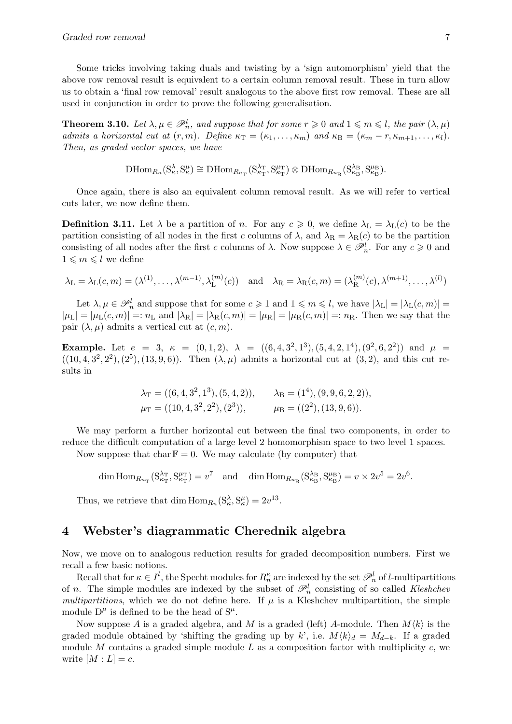Some tricks involving taking duals and twisting by a 'sign automorphism' yield that the above row removal result is equivalent to a certain column removal result. These in turn allow us to obtain a 'final row removal' result analogous to the above first row removal. These are all used in conjunction in order to prove the following generalisation.

<span id="page-6-0"></span>**Theorem 3.10.** Let  $\lambda, \mu \in \mathcal{P}_n^l$ , and suppose that for some  $r \geq 0$  and  $1 \leq m \leq l$ , the pair  $(\lambda, \mu)$ admits a horizontal cut at  $(r, m)$ . Define  $\kappa_T = (\kappa_1, \ldots, \kappa_m)$  and  $\kappa_B = (\kappa_m - r, \kappa_{m+1}, \ldots, \kappa_l)$ . Then, as graded vector spaces, we have

$$
\mathrm{D}\mathrm{Hom}_{R_n}({\mathrm S}^\lambda_\kappa,{\mathrm S}^\mu_\kappa)\cong\mathrm{D}\mathrm{Hom}_{R_{n_{\mathrm T}}}( {\mathrm S}^{\lambda_{\mathrm T}}_{\kappa_{\mathrm T}},{\mathrm S}^{\mu_{\mathrm T}}_{\kappa_{\mathrm T}})\otimes\mathrm{D}\mathrm{Hom}_{R_{n_{\mathrm B}}}( {\mathrm S}^{\lambda_{\mathrm B}}_{\kappa_{\mathrm B}},{\mathrm S}^{\mu_{\mathrm B}}_{\kappa_{\mathrm B}}).
$$

Once again, there is also an equivalent column removal result. As we will refer to vertical cuts later, we now define them.

**Definition 3.11.** Let  $\lambda$  be a partition of n. For any  $c \ge 0$ , we define  $\lambda_L = \lambda_L(c)$  to be the partition consisting of all nodes in the first c columns of  $\lambda$ , and  $\lambda_R = \lambda_R(c)$  to be the partition consisting of all nodes after the first c columns of  $\lambda$ . Now suppose  $\lambda \in \mathscr{P}_n^l$ . For any  $c \geq 0$  and  $1 \leqslant m \leqslant l$  we define

$$
\lambda_{\mathcal{L}} = \lambda_{\mathcal{L}}(c, m) = (\lambda^{(1)}, \dots, \lambda^{(m-1)}, \lambda^{(m)}_{\mathcal{L}}(c)) \text{ and } \lambda_{\mathcal{R}} = \lambda_{\mathcal{R}}(c, m) = (\lambda^{(m)}_{\mathcal{R}}(c), \lambda^{(m+1)}, \dots, \lambda^{(l)})
$$

Let  $\lambda, \mu \in \mathscr{P}_n^l$  and suppose that for some  $c \geq 1$  and  $1 \leqslant m \leqslant l$ , we have  $|\lambda_{\text{L}}| = |\lambda_{\text{L}}(c, m)| =$  $|\mu_{\rm L}| = |\mu_{\rm L}(c,m)| =: n_{\rm L}$  and  $|\lambda_{\rm R}| = |\lambda_{\rm R}(c,m)| = |\mu_{\rm R}| = |\mu_{\rm R}(c,m)| =: n_{\rm R}$ . Then we say that the pair  $(\lambda, \mu)$  admits a vertical cut at  $(c, m)$ .

**Example.** Let  $e = 3$ ,  $\kappa = (0, 1, 2)$ ,  $\lambda = ((6, 4, 3^2, 1^3), (5, 4, 2, 1^4), (9^2, 6, 2^2))$  and  $\mu =$  $((10, 4, 3^2, 2^2), (2^5), (13, 9, 6))$ . Then  $(\lambda, \mu)$  admits a horizontal cut at  $(3, 2)$ , and this cut results in

$$
\lambda_{\text{T}} = ((6, 4, 3^2, 1^3), (5, 4, 2)),
$$
\n $\lambda_{\text{B}} = (1^4), (9, 9, 6, 2, 2)),$ \n $\mu_{\text{T}} = ((10, 4, 3^2, 2^2), (2^3)),$ \n $\mu_{\text{B}} = ((2^2), (13, 9, 6)).$ 

We may perform a further horizontal cut between the final two components, in order to reduce the difficult computation of a large level 2 homomorphism space to two level 1 spaces.

Now suppose that char  $\mathbb{F} = 0$ . We may calculate (by computer) that

$$
\dim \text{Hom}_{R_{n_{\text{T}}}}(\mathbf{S}_{\kappa_{\text{T}}}^{\lambda_{\text{T}}}, \mathbf{S}_{\kappa_{\text{T}}}^{\mu_{\text{T}}}) = v^7 \quad \text{and} \quad \dim \text{Hom}_{R_{n_{\text{B}}}}(\mathbf{S}_{\kappa_{\text{B}}}^{\lambda_{\text{B}}}, \mathbf{S}_{\kappa_{\text{B}}}^{\mu_{\text{B}}}) = v \times 2v^5 = 2v^6.
$$

Thus, we retrieve that dim  $\text{Hom}_{R_n}(S_\kappa^{\lambda}, S_\kappa^{\mu}) = 2v^{13}$ .

# 4 Webster's diagrammatic Cherednik algebra

Now, we move on to analogous reduction results for graded decomposition numbers. First we recall a few basic notions.

Recall that for  $\kappa \in I^l$ , the Specht modules for  $R_n^{\kappa}$  are indexed by the set  $\mathscr{P}_n^l$  of *l*-multipartitions of *n*. The simple modules are indexed by the subset of  $\mathcal{P}_n^l$  consisting of so called Kleshchev multipartitions, which we do not define here. If  $\mu$  is a Kleshchev multipartition, the simple module  $D^{\mu}$  is defined to be the head of  $S^{\mu}$ .

Now suppose A is a graded algebra, and M is a graded (left) A-module. Then  $M\langle k \rangle$  is the graded module obtained by 'shifting the grading up by k', i.e.  $M\langle k\rangle_d = M_{d-k}$ . If a graded module M contains a graded simple module  $L$  as a composition factor with multiplicity  $c$ , we write  $[M: L] = c$ .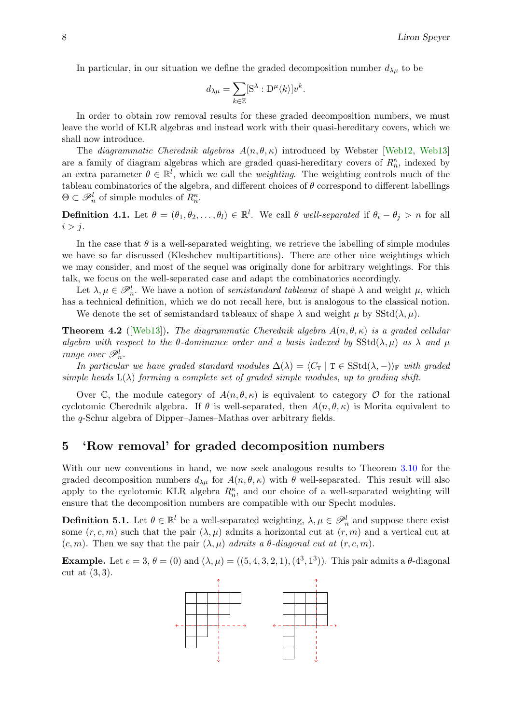<span id="page-7-0"></span>In particular, in our situation we define the graded decomposition number  $d_{\lambda\mu}$  to be

$$
d_{\lambda\mu} = \sum_{k \in \mathbb{Z}} [S^{\lambda} : D^{\mu} \langle k \rangle] v^{k}.
$$

In order to obtain row removal results for these graded decomposition numbers, we must leave the world of KLR algebras and instead work with their quasi-hereditary covers, which we shall now introduce.

The diagrammatic Cherednik algebras  $A(n, \theta, \kappa)$  introduced by Webster [\[Web12,](#page-9-6) [Web13\]](#page-9-7) are a family of diagram algebras which are graded quasi-hereditary covers of  $R_n^{\kappa}$ , indexed by an extra parameter  $\theta \in \mathbb{R}^l$ , which we call the *weighting*. The weighting controls much of the tableau combinatorics of the algebra, and different choices of  $\theta$  correspond to different labellings  $\Theta \subset \mathscr{P}_n^l$  of simple modules of  $R_n^{\kappa}$ .

**Definition 4.1.** Let  $\theta = (\theta_1, \theta_2, \dots, \theta_l) \in \mathbb{R}^l$ . We call  $\theta$  well-separated if  $\theta_i - \theta_j > n$  for all  $i > j$ .

In the case that  $\theta$  is a well-separated weighting, we retrieve the labelling of simple modules we have so far discussed (Kleshchev multipartitions). There are other nice weightings which we may consider, and most of the sequel was originally done for arbitrary weightings. For this talk, we focus on the well-separated case and adapt the combinatorics accordingly.

Let  $\lambda, \mu \in \mathscr{P}_n^l$ . We have a notion of *semistandard tableaux* of shape  $\lambda$  and weight  $\mu$ , which has a technical definition, which we do not recall here, but is analogous to the classical notion.

We denote the set of semistandard tableaux of shape  $\lambda$  and weight  $\mu$  by SStd( $\lambda, \mu$ ).

**Theorem 4.2** ([\[Web13\]](#page-9-7)). The diagrammatic Cherednik algebra  $A(n, \theta, \kappa)$  is a graded cellular algebra with respect to the  $\theta$ -dominance order and a basis indexed by  $SStd(\lambda, \mu)$  as  $\lambda$  and  $\mu$ range over  $\mathscr{P}_n^l$ .

In particular we have graded standard modules  $\Delta(\lambda) = \langle C_T | T \in SStd(\lambda, -)\rangle_{\mathbb{F}}$  with graded simple heads  $L(\lambda)$  forming a complete set of graded simple modules, up to grading shift.

Over C, the module category of  $A(n, \theta, \kappa)$  is equivalent to category O for the rational cyclotomic Cherednik algebra. If  $\theta$  is well-separated, then  $A(n, \theta, \kappa)$  is Morita equivalent to the q-Schur algebra of Dipper–James–Mathas over arbitrary fields.

### 5 'Row removal' for graded decomposition numbers

With our new conventions in hand, we now seek analogous results to Theorem [3.10](#page-6-0) for the graded decomposition numbers  $d_{\lambda\mu}$  for  $A(n, \theta, \kappa)$  with  $\theta$  well-separated. This result will also apply to the cyclotomic KLR algebra  $R_n^{\kappa}$ , and our choice of a well-separated weighting will ensure that the decomposition numbers are compatible with our Specht modules.

**Definition 5.1.** Let  $\theta \in \mathbb{R}^l$  be a well-separated weighting,  $\lambda, \mu \in \mathscr{P}_n^l$  and suppose there exist some  $(r, c, m)$  such that the pair  $(\lambda, \mu)$  admits a horizontal cut at  $(r, m)$  and a vertical cut at  $(c, m)$ . Then we say that the pair  $(\lambda, \mu)$  admits a  $\theta$ -diagonal cut at  $(r, c, m)$ .

**Example.** Let  $e = 3$ ,  $\theta = (0)$  and  $(\lambda, \mu) = ((5, 4, 3, 2, 1), (4^3, 1^3))$ . This pair admits a  $\theta$ -diagonal cut at (3, 3).

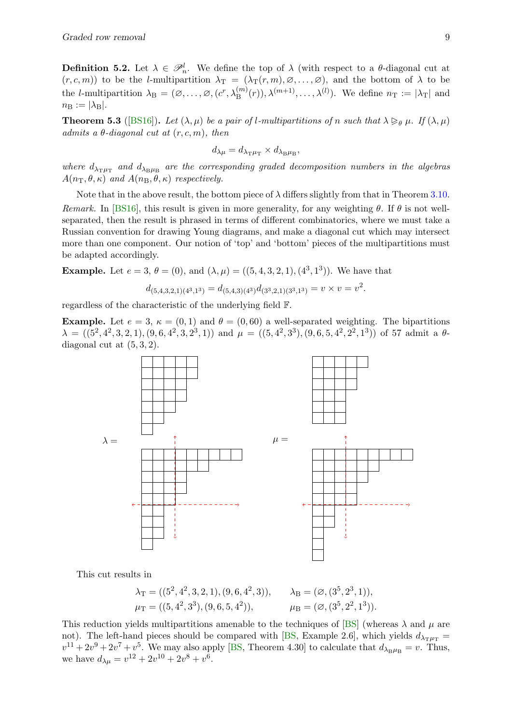<span id="page-8-0"></span>**Definition 5.2.** Let  $\lambda \in \mathcal{P}_n^l$ . We define the top of  $\lambda$  (with respect to a  $\theta$ -diagonal cut at  $(r, c, m)$  to be the *l*-multipartition  $\lambda_T = (\lambda_T(r, m), \emptyset, \ldots, \emptyset)$ , and the bottom of  $\lambda$  to be the *l*-multipartition  $\lambda_B = (\emptyset, \ldots, \emptyset, (c^r, \lambda_B^{(m)}(r)), \lambda^{(m+1)}, \ldots, \lambda^{(l)})$ . We define  $n_T := |\lambda_T|$  and  $n_{\rm B} := |\lambda_{\rm B}|.$ 

**Theorem 5.3** ([\[BS16\]](#page-9-8)). Let  $(\lambda, \mu)$  be a pair of l-multipartitions of n such that  $\lambda \geq_{\theta} \mu$ . If  $(\lambda, \mu)$ admits a  $\theta$ -diagonal cut at  $(r, c, m)$ , then

$$
d_{\lambda\mu}=d_{\lambda_{\rm T}\mu_{\rm T}}\times d_{\lambda_{\rm B}\mu_{\rm B}},
$$

where  $d_{\lambda_{\text{T}}\mu_{\text{T}}}$  and  $d_{\lambda_{\text{B}}\mu_{\text{B}}}$  are the corresponding graded decomposition numbers in the algebras  $A(n_{\rm T}, \theta, \kappa)$  and  $A(n_{\rm B}, \theta, \kappa)$  respectively.

Note that in the above result, the bottom piece of  $\lambda$  differs slightly from that in Theorem [3.10.](#page-6-0) Remark. In [\[BS16\]](#page-9-8), this result is given in more generality, for any weighting  $\theta$ . If  $\theta$  is not wellseparated, then the result is phrased in terms of different combinatorics, where we must take a Russian convention for drawing Young diagrams, and make a diagonal cut which may intersect more than one component. Our notion of 'top' and 'bottom' pieces of the multipartitions must be adapted accordingly.

**Example.** Let  $e = 3$ ,  $\theta = (0)$ , and  $(\lambda, \mu) = ((5, 4, 3, 2, 1), (4^3, 1^3))$ . We have that

$$
d_{(5,4,3,2,1)(4^3,1^3)} = d_{(5,4,3)(4^3)}d_{(3^3,2,1)(3^3,1^3)} = v \times v = v^2.
$$

regardless of the characteristic of the underlying field F.

**Example.** Let  $e = 3$ ,  $\kappa = (0, 1)$  and  $\theta = (0, 60)$  a well-separated weighting. The bipartitions  $\lambda = ((5^2, 4^2, 3, 2, 1), (9, 6, 4^2, 3, 2^3, 1))$  and  $\mu = ((5, 4^2, 3^3), (9, 6, 5, 4^2, 2^2, 1^3))$  of 57 admit a  $\theta$ diagonal cut at (5, 3, 2).



This cut results in

 $\lambda_{\rm T} = ((5^2, 4^2, 3, 2, 1), (9, 6, 4^2, 3)), \lambda_{\rm B} = (\emptyset, (3^5, 2^3, 1)),$  $\mu_{\rm T} = ((5, 4^2, 3^3), (9, 6, 5, 4^2)),$   $\mu_{\rm B} = (\emptyset, (3^5, 2^2, 1^3)).$ 

This reduction yields multipartitions amenable to the techniques of [\[BS\]](#page-9-9) (whereas  $\lambda$  and  $\mu$  are not). The left-hand pieces should be compared with [\[BS,](#page-9-9) Example 2.6], which yields  $d_{\lambda_{\text{min}}}$  =  $v^{11} + 2v^9 + 2v^7 + v^5$ . We may also apply [\[BS,](#page-9-9) Theorem 4.30] to calculate that  $d_{\lambda_B\mu_B} = v$ . Thus, we have  $d_{\lambda\mu} = v^{12} + 2v^{10} + 2v^8 + v^6$ .